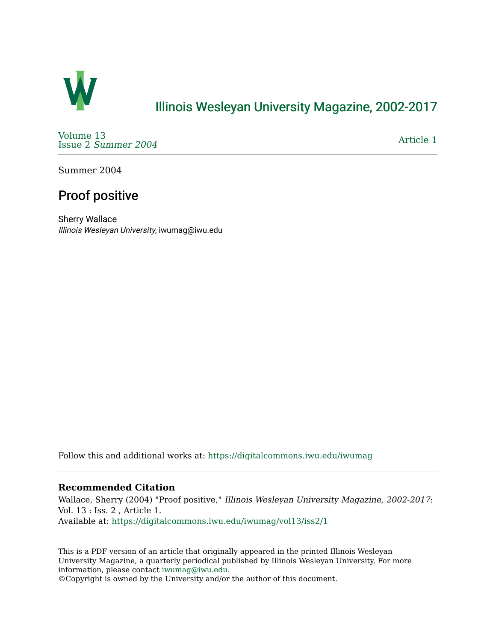

### [Illinois Wesleyan University Magazine, 2002-2017](https://digitalcommons.iwu.edu/iwumag)

[Volume 13](https://digitalcommons.iwu.edu/iwumag/vol13)  Issue 2 [Summer 2004](https://digitalcommons.iwu.edu/iwumag/vol13/iss2) 

[Article 1](https://digitalcommons.iwu.edu/iwumag/vol13/iss2/1) 

Summer 2004

# Proof positive

Sherry Wallace Illinois Wesleyan University, iwumag@iwu.edu

Follow this and additional works at: [https://digitalcommons.iwu.edu/iwumag](https://digitalcommons.iwu.edu/iwumag?utm_source=digitalcommons.iwu.edu%2Fiwumag%2Fvol13%2Fiss2%2F1&utm_medium=PDF&utm_campaign=PDFCoverPages) 

#### **Recommended Citation**

Wallace, Sherry (2004) "Proof positive," Illinois Wesleyan University Magazine, 2002-2017: Vol. 13 : Iss. 2 , Article 1. Available at: [https://digitalcommons.iwu.edu/iwumag/vol13/iss2/1](https://digitalcommons.iwu.edu/iwumag/vol13/iss2/1?utm_source=digitalcommons.iwu.edu%2Fiwumag%2Fvol13%2Fiss2%2F1&utm_medium=PDF&utm_campaign=PDFCoverPages)

This is a PDF version of an article that originally appeared in the printed Illinois Wesleyan University Magazine, a quarterly periodical published by Illinois Wesleyan University. For more information, please contact [iwumag@iwu.edu](mailto:iwumag@iwu.edu).

©Copyright is owned by the University and/or the author of this document.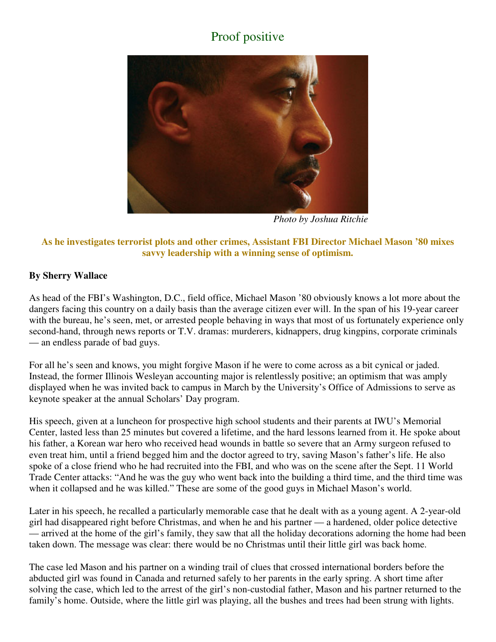# Proof positive



*Photo by Joshua Ritchie*

#### **As he investigates terrorist plots and other crimes, Assistant FBI Director Michael Mason '80 mixes savvy leadership with a winning sense of optimism.**

### **By Sherry Wallace**

As head of the FBI's Washington, D.C., field office, Michael Mason '80 obviously knows a lot more about the dangers facing this country on a daily basis than the average citizen ever will. In the span of his 19-year career with the bureau, he's seen, met, or arrested people behaving in ways that most of us fortunately experience only second-hand, through news reports or T.V. dramas: murderers, kidnappers, drug kingpins, corporate criminals — an endless parade of bad guys.

For all he's seen and knows, you might forgive Mason if he were to come across as a bit cynical or jaded. Instead, the former Illinois Wesleyan accounting major is relentlessly positive; an optimism that was amply displayed when he was invited back to campus in March by the University's Office of Admissions to serve as keynote speaker at the annual Scholars' Day program.

His speech, given at a luncheon for prospective high school students and their parents at IWU's Memorial Center, lasted less than 25 minutes but covered a lifetime, and the hard lessons learned from it. He spoke about his father, a Korean war hero who received head wounds in battle so severe that an Army surgeon refused to even treat him, until a friend begged him and the doctor agreed to try, saving Mason's father's life. He also spoke of a close friend who he had recruited into the FBI, and who was on the scene after the Sept. 11 World Trade Center attacks: "And he was the guy who went back into the building a third time, and the third time was when it collapsed and he was killed." These are some of the good guys in Michael Mason's world.

Later in his speech, he recalled a particularly memorable case that he dealt with as a young agent. A 2-year-old girl had disappeared right before Christmas, and when he and his partner — a hardened, older police detective — arrived at the home of the girl's family, they saw that all the holiday decorations adorning the home had been taken down. The message was clear: there would be no Christmas until their little girl was back home.

The case led Mason and his partner on a winding trail of clues that crossed international borders before the abducted girl was found in Canada and returned safely to her parents in the early spring. A short time after solving the case, which led to the arrest of the girl's non-custodial father, Mason and his partner returned to the family's home. Outside, where the little girl was playing, all the bushes and trees had been strung with lights.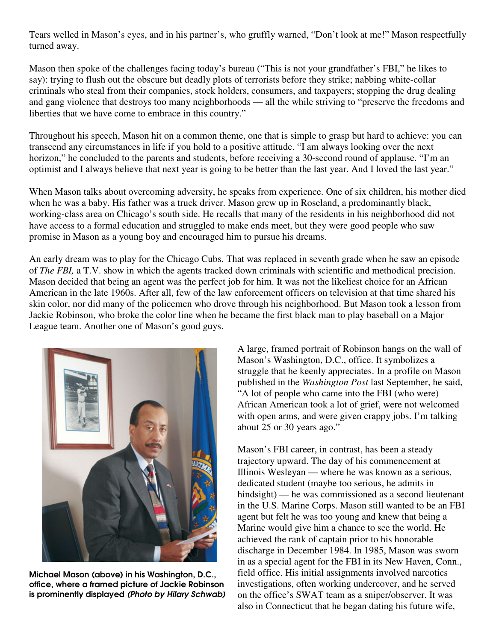Tears welled in Mason's eyes, and in his partner's, who gruffly warned, "Don't look at me!" Mason respectfully turned away.

Mason then spoke of the challenges facing today's bureau ("This is not your grandfather's FBI," he likes to say): trying to flush out the obscure but deadly plots of terrorists before they strike; nabbing white-collar criminals who steal from their companies, stock holders, consumers, and taxpayers; stopping the drug dealing and gang violence that destroys too many neighborhoods — all the while striving to "preserve the freedoms and liberties that we have come to embrace in this country."

Throughout his speech, Mason hit on a common theme, one that is simple to grasp but hard to achieve: you can transcend any circumstances in life if you hold to a positive attitude. "I am always looking over the next horizon," he concluded to the parents and students, before receiving a 30-second round of applause. "I'm an optimist and I always believe that next year is going to be better than the last year. And I loved the last year."

When Mason talks about overcoming adversity, he speaks from experience. One of six children, his mother died when he was a baby. His father was a truck driver. Mason grew up in Roseland, a predominantly black, working-class area on Chicago's south side. He recalls that many of the residents in his neighborhood did not have access to a formal education and struggled to make ends meet, but they were good people who saw promise in Mason as a young boy and encouraged him to pursue his dreams.

An early dream was to play for the Chicago Cubs. That was replaced in seventh grade when he saw an episode of *The FBI,* a T.V. show in which the agents tracked down criminals with scientific and methodical precision. Mason decided that being an agent was the perfect job for him. It was not the likeliest choice for an African American in the late 1960s. After all, few of the law enforcement officers on television at that time shared his skin color, nor did many of the policemen who drove through his neighborhood. But Mason took a lesson from Jackie Robinson, who broke the color line when he became the first black man to play baseball on a Major League team. Another one of Mason's good guys.



Michael Mason (above) in his Washington, D.C., office, where a framed picture of Jackie Robinson is prominently displayed (Photo by Hilary Schwab)

A large, framed portrait of Robinson hangs on the wall of Mason's Washington, D.C., office. It symbolizes a struggle that he keenly appreciates. In a profile on Mason published in the *Washington Post* last September, he said,  $A$  lot of people who came into the FBI (who were) African American took a lot of grief, were not welcomed with open arms, and were given crappy jobs. I'm talking about 25 or 30 years ago."

Mason's FBI career, in contrast, has been a steady trajectory upward. The day of his commencement at Illinois Wesleyan — where he was known as a serious, dedicated student (maybe too serious, he admits in hindsight) — he was commissioned as a second lieutenant in the U.S. Marine Corps. Mason still wanted to be an FBI agent but felt he was too young and knew that being a Marine would give him a chance to see the world. He achieved the rank of captain prior to his honorable discharge in December 1984. In 1985, Mason was sworn in as a special agent for the FBI in its New Haven, Conn., field office. His initial assignments involved narcotics investigations, often working undercover, and he served on the office's SWAT team as a sniper/observer. It was also in Connecticut that he began dating his future wife,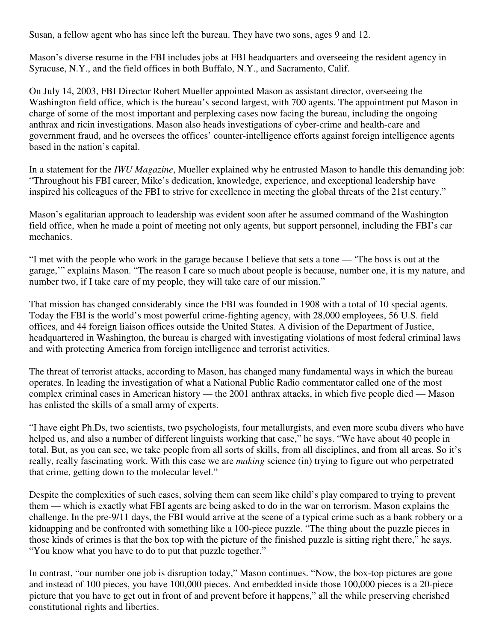Susan, a fellow agent who has since left the bureau. They have two sons, ages 9 and 12.

Mason's diverse resume in the FBI includes jobs at FBI headquarters and overseeing the resident agency in Syracuse, N.Y., and the field offices in both Buffalo, N.Y., and Sacramento, Calif.

On July 14, 2003, FBI Director Robert Mueller appointed Mason as assistant director, overseeing the Washington field office, which is the bureau's second largest, with 700 agents. The appointment put Mason in charge of some of the most important and perplexing cases now facing the bureau, including the ongoing anthrax and ricin investigations. Mason also heads investigations of cyber-crime and health-care and government fraud, and he oversees the offices' counter-intelligence efforts against foreign intelligence agents based in the nation's capital.

In a statement for the *IWU Magazine*, Mueller explained why he entrusted Mason to handle this demanding job: "Throughout his FBI career, Mike's dedication, knowledge, experience, and exceptional leadership have inspired his colleagues of the FBI to strive for excellence in meeting the global threats of the 21st century."

Mason's egalitarian approach to leadership was evident soon after he assumed command of the Washington field office, when he made a point of meeting not only agents, but support personnel, including the FBI's car mechanics.

"I met with the people who work in the garage because I believe that sets a tone — 'The boss is out at the garage,'" explains Mason. "The reason I care so much about people is because, number one, it is my nature, and number two, if I take care of my people, they will take care of our mission."

That mission has changed considerably since the FBI was founded in 1908 with a total of 10 special agents. Today the FBI is the world's most powerful crime-fighting agency, with 28,000 employees, 56 U.S. field offices, and 44 foreign liaison offices outside the United States. A division of the Department of Justice, headquartered in Washington, the bureau is charged with investigating violations of most federal criminal laws and with protecting America from foreign intelligence and terrorist activities.

The threat of terrorist attacks, according to Mason, has changed many fundamental ways in which the bureau operates. In leading the investigation of what a National Public Radio commentator called one of the most complex criminal cases in American history — the 2001 anthrax attacks, in which five people died — Mason has enlisted the skills of a small army of experts.

"I have eight Ph.Ds, two scientists, two psychologists, four metallurgists, and even more scuba divers who have helped us, and also a number of different linguists working that case," he says. "We have about 40 people in total. But, as you can see, we take people from all sorts of skills, from all disciplines, and from all areas. So it's really, really fascinating work. With this case we are *making* science (in) trying to figure out who perpetrated that crime, getting down to the molecular level."

Despite the complexities of such cases, solving them can seem like child's play compared to trying to prevent them — which is exactly what FBI agents are being asked to do in the war on terrorism. Mason explains the challenge. In the pre-9/11 days, the FBI would arrive at the scene of a typical crime such as a bank robbery or a kidnapping and be confronted with something like a 100-piece puzzle. "The thing about the puzzle pieces in those kinds of crimes is that the box top with the picture of the finished puzzle is sitting right there," he says. "You know what you have to do to put that puzzle together."

In contrast, "our number one job is disruption today," Mason continues. "Now, the box-top pictures are gone and instead of 100 pieces, you have 100,000 pieces. And embedded inside those 100,000 pieces is a 20-piece picture that you have to get out in front of and prevent before it happens," all the while preserving cherished constitutional rights and liberties.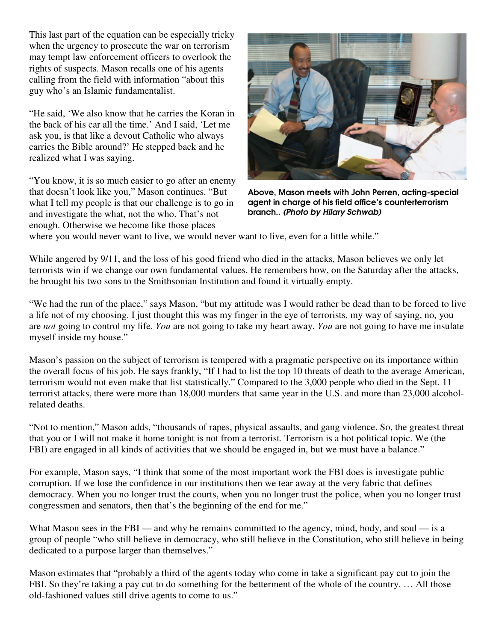This last part of the equation can be especially tricky when the urgency to prosecute the war on terrorism may tempt law enforcement officers to overlook the rights of suspects. Mason recalls one of his agents calling from the field with information "about this guy who's an Islamic fundamentalist.

"He said, 'We also know that he carries the Koran in the back of his car all the time.' And I said, 'Let me ask you, is that like a devout Catholic who always carries the Bible around?' He stepped back and he realized what I was saying.

"You know, it is so much easier to go after an enemy that doesn't look like you," Mason continues. "But what I tell my people is that our challenge is to go in and investigate the what, not the who. That's not enough. Otherwise we become like those places



Above, Mason meets with John Perren, acting-special agent in charge of his field office's counterterrorism branch.. (Photo by Hilary Schwab)

where you would never want to live, we would never want to live, even for a little while."

While angered by 9/11, and the loss of his good friend who died in the attacks, Mason believes we only let terrorists win if we change our own fundamental values. He remembers how, on the Saturday after the attacks, he brought his two sons to the Smithsonian Institution and found it virtually empty.

"We had the run of the place," says Mason, "but my attitude was I would rather be dead than to be forced to live a life not of my choosing. I just thought this was my finger in the eye of terrorists, my way of saying, no, you are *not* going to control my life. *You* are not going to take my heart away. *You* are not going to have me insulate myself inside my house."

Mason's passion on the subject of terrorism is tempered with a pragmatic perspective on its importance within the overall focus of his job. He says frankly, "If I had to list the top 10 threats of death to the average American, terrorism would not even make that list statistically." Compared to the 3,000 people who died in the Sept. 11 terrorist attacks, there were more than 18,000 murders that same year in the U.S. and more than 23,000 alcoholrelated deaths.

"Not to mention," Mason adds, "thousands of rapes, physical assaults, and gang violence. So, the greatest threat that you or I will not make it home tonight is not from a terrorist. Terrorism is a hot political topic. We (the FBI) are engaged in all kinds of activities that we should be engaged in, but we must have a balance."

For example, Mason says, "I think that some of the most important work the FBI does is investigate public corruption. If we lose the confidence in our institutions then we tear away at the very fabric that defines democracy. When you no longer trust the courts, when you no longer trust the police, when you no longer trust congressmen and senators, then that's the beginning of the end for me."

What Mason sees in the FBI — and why he remains committed to the agency, mind, body, and soul — is a group of people "who still believe in democracy, who still believe in the Constitution, who still believe in being dedicated to a purpose larger than themselves."

Mason estimates that "probably a third of the agents today who come in take a significant pay cut to join the FBI. So they're taking a pay cut to do something for the betterment of the whole of the country. … All those old-fashioned values still drive agents to come to us."